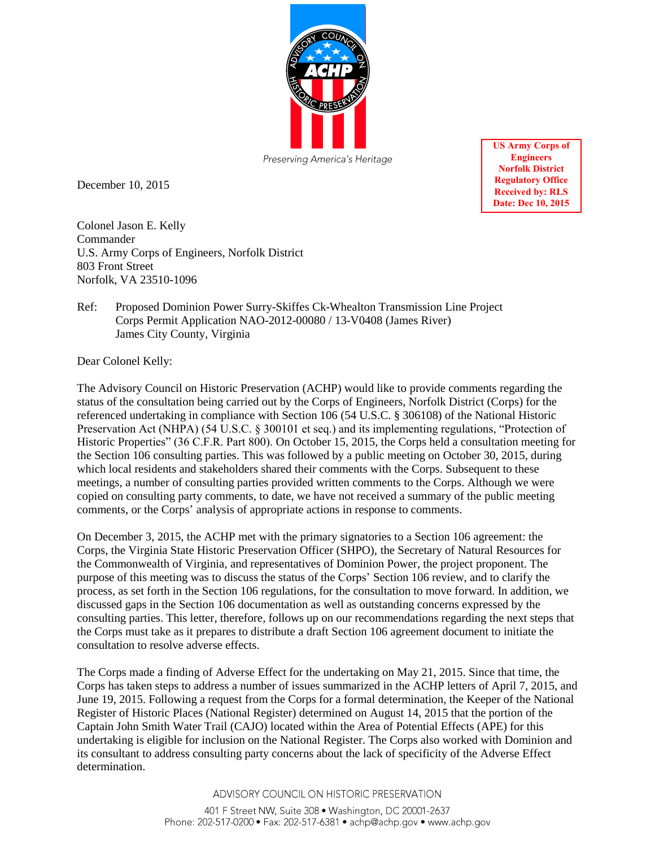

December 10, 2015

**US Army Corps of Engineers Norfolk District Regulatory Office Received by: RLS Date: Dec 10, 2015** 

Colonel Jason E. Kelly Commander U.S. Army Corps of Engineers, Norfolk District 803 Front Street Norfolk, VA 23510-1096

## Ref: Proposed Dominion Power Surry-Skiffes Ck-Whealton Transmission Line Project Corps Permit Application NAO-2012-00080 / 13-V0408 (James River) James City County, Virginia

Dear Colonel Kelly:

The Advisory Council on Historic Preservation (ACHP) would like to provide comments regarding the status of the consultation being carried out by the Corps of Engineers, Norfolk District (Corps) for the referenced undertaking in compliance with Section 106 (54 U.S.C. § 306108) of the National Historic Preservation Act (NHPA) (54 U.S.C. § 300101 et seq.) and its implementing regulations, "Protection of Historic Properties" (36 C.F.R. Part 800). On October 15, 2015, the Corps held a consultation meeting for the Section 106 consulting parties. This was followed by a public meeting on October 30, 2015, during which local residents and stakeholders shared their comments with the Corps. Subsequent to these meetings, a number of consulting parties provided written comments to the Corps. Although we were copied on consulting party comments, to date, we have not received a summary of the public meeting comments, or the Corps' analysis of appropriate actions in response to comments.

On December 3, 2015, the ACHP met with the primary signatories to a Section 106 agreement: the Corps, the Virginia State Historic Preservation Officer (SHPO), the Secretary of Natural Resources for the Commonwealth of Virginia, and representatives of Dominion Power, the project proponent. The purpose of this meeting was to discuss the status of the Corps' Section 106 review, and to clarify the process, as set forth in the Section 106 regulations, for the consultation to move forward. In addition, we discussed gaps in the Section 106 documentation as well as outstanding concerns expressed by the consulting parties. This letter, therefore, follows up on our recommendations regarding the next steps that the Corps must take as it prepares to distribute a draft Section 106 agreement document to initiate the consultation to resolve adverse effects.

The Corps made a finding of Adverse Effect for the undertaking on May 21, 2015. Since that time, the Corps has taken steps to address a number of issues summarized in the ACHP letters of April 7, 2015, and June 19, 2015. Following a request from the Corps for a formal determination, the Keeper of the National Register of Historic Places (National Register) determined on August 14, 2015 that the portion of the Captain John Smith Water Trail (CAJO) located within the Area of Potential Effects (APE) for this undertaking is eligible for inclusion on the National Register. The Corps also worked with Dominion and its consultant to address consulting party concerns about the lack of specificity of the Adverse Effect determination.

ADVISORY COUNCIL ON HISTORIC PRESERVATION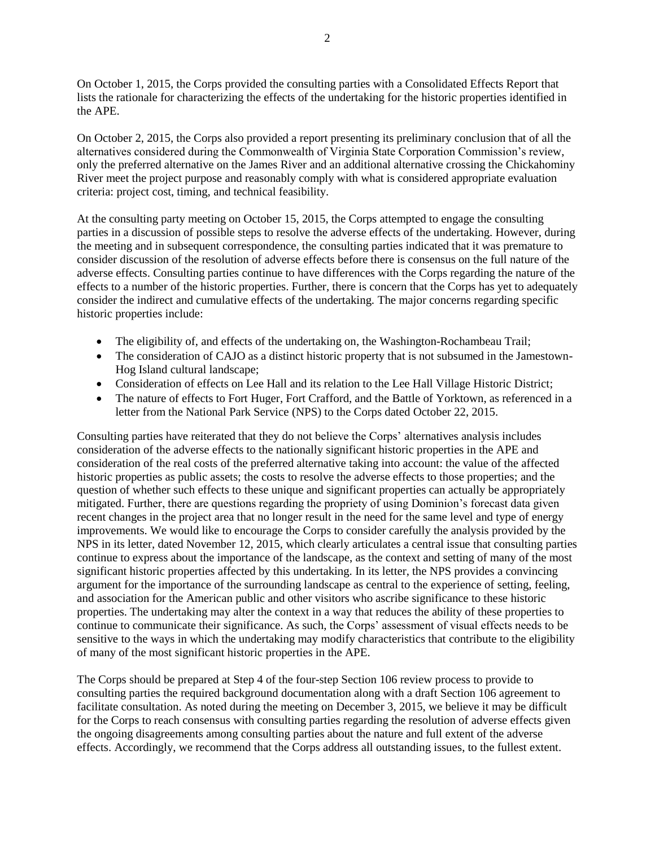On October 1, 2015, the Corps provided the consulting parties with a Consolidated Effects Report that lists the rationale for characterizing the effects of the undertaking for the historic properties identified in the APE.

On October 2, 2015, the Corps also provided a report presenting its preliminary conclusion that of all the alternatives considered during the Commonwealth of Virginia State Corporation Commission's review, only the preferred alternative on the James River and an additional alternative crossing the Chickahominy River meet the project purpose and reasonably comply with what is considered appropriate evaluation criteria: project cost, timing, and technical feasibility.

At the consulting party meeting on October 15, 2015, the Corps attempted to engage the consulting parties in a discussion of possible steps to resolve the adverse effects of the undertaking. However, during the meeting and in subsequent correspondence, the consulting parties indicated that it was premature to consider discussion of the resolution of adverse effects before there is consensus on the full nature of the adverse effects. Consulting parties continue to have differences with the Corps regarding the nature of the effects to a number of the historic properties. Further, there is concern that the Corps has yet to adequately consider the indirect and cumulative effects of the undertaking. The major concerns regarding specific historic properties include:

- The eligibility of, and effects of the undertaking on, the Washington-Rochambeau Trail;
- The consideration of CAJO as a distinct historic property that is not subsumed in the Jamestown-Hog Island cultural landscape;
- Consideration of effects on Lee Hall and its relation to the Lee Hall Village Historic District;
- The nature of effects to Fort Huger, Fort Crafford, and the Battle of Yorktown, as referenced in a letter from the National Park Service (NPS) to the Corps dated October 22, 2015.

Consulting parties have reiterated that they do not believe the Corps' alternatives analysis includes consideration of the adverse effects to the nationally significant historic properties in the APE and consideration of the real costs of the preferred alternative taking into account: the value of the affected historic properties as public assets; the costs to resolve the adverse effects to those properties; and the question of whether such effects to these unique and significant properties can actually be appropriately mitigated. Further, there are questions regarding the propriety of using Dominion's forecast data given recent changes in the project area that no longer result in the need for the same level and type of energy improvements. We would like to encourage the Corps to consider carefully the analysis provided by the NPS in its letter, dated November 12, 2015, which clearly articulates a central issue that consulting parties continue to express about the importance of the landscape, as the context and setting of many of the most significant historic properties affected by this undertaking. In its letter, the NPS provides a convincing argument for the importance of the surrounding landscape as central to the experience of setting, feeling, and association for the American public and other visitors who ascribe significance to these historic properties. The undertaking may alter the context in a way that reduces the ability of these properties to continue to communicate their significance. As such, the Corps' assessment of visual effects needs to be sensitive to the ways in which the undertaking may modify characteristics that contribute to the eligibility of many of the most significant historic properties in the APE.

The Corps should be prepared at Step 4 of the four-step Section 106 review process to provide to consulting parties the required background documentation along with a draft Section 106 agreement to facilitate consultation. As noted during the meeting on December 3, 2015, we believe it may be difficult for the Corps to reach consensus with consulting parties regarding the resolution of adverse effects given the ongoing disagreements among consulting parties about the nature and full extent of the adverse effects. Accordingly, we recommend that the Corps address all outstanding issues, to the fullest extent.